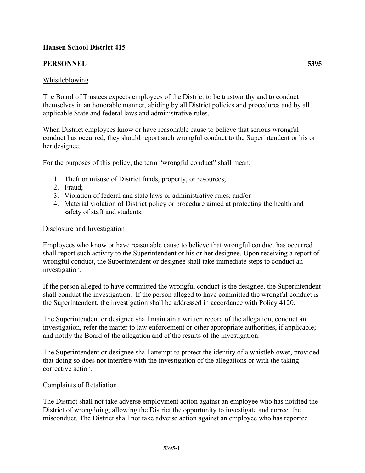# **Hansen School District 415**

# **PERSONNEL 5395**

### Whistleblowing

The Board of Trustees expects employees of the District to be trustworthy and to conduct themselves in an honorable manner, abiding by all District policies and procedures and by all applicable State and federal laws and administrative rules.

When District employees know or have reasonable cause to believe that serious wrongful conduct has occurred, they should report such wrongful conduct to the Superintendent or his or her designee.

For the purposes of this policy, the term "wrongful conduct" shall mean:

- 1. Theft or misuse of District funds, property, or resources;
- 2. Fraud;
- 3. Violation of federal and state laws or administrative rules; and/or
- 4. Material violation of District policy or procedure aimed at protecting the health and safety of staff and students.

### Disclosure and Investigation

Employees who know or have reasonable cause to believe that wrongful conduct has occurred shall report such activity to the Superintendent or his or her designee. Upon receiving a report of wrongful conduct, the Superintendent or designee shall take immediate steps to conduct an investigation.

If the person alleged to have committed the wrongful conduct is the designee, the Superintendent shall conduct the investigation. If the person alleged to have committed the wrongful conduct is the Superintendent, the investigation shall be addressed in accordance with Policy 4120.

The Superintendent or designee shall maintain a written record of the allegation; conduct an investigation, refer the matter to law enforcement or other appropriate authorities, if applicable; and notify the Board of the allegation and of the results of the investigation.

The Superintendent or designee shall attempt to protect the identity of a whistleblower, provided that doing so does not interfere with the investigation of the allegations or with the taking corrective action.

### Complaints of Retaliation

The District shall not take adverse employment action against an employee who has notified the District of wrongdoing, allowing the District the opportunity to investigate and correct the misconduct. The District shall not take adverse action against an employee who has reported